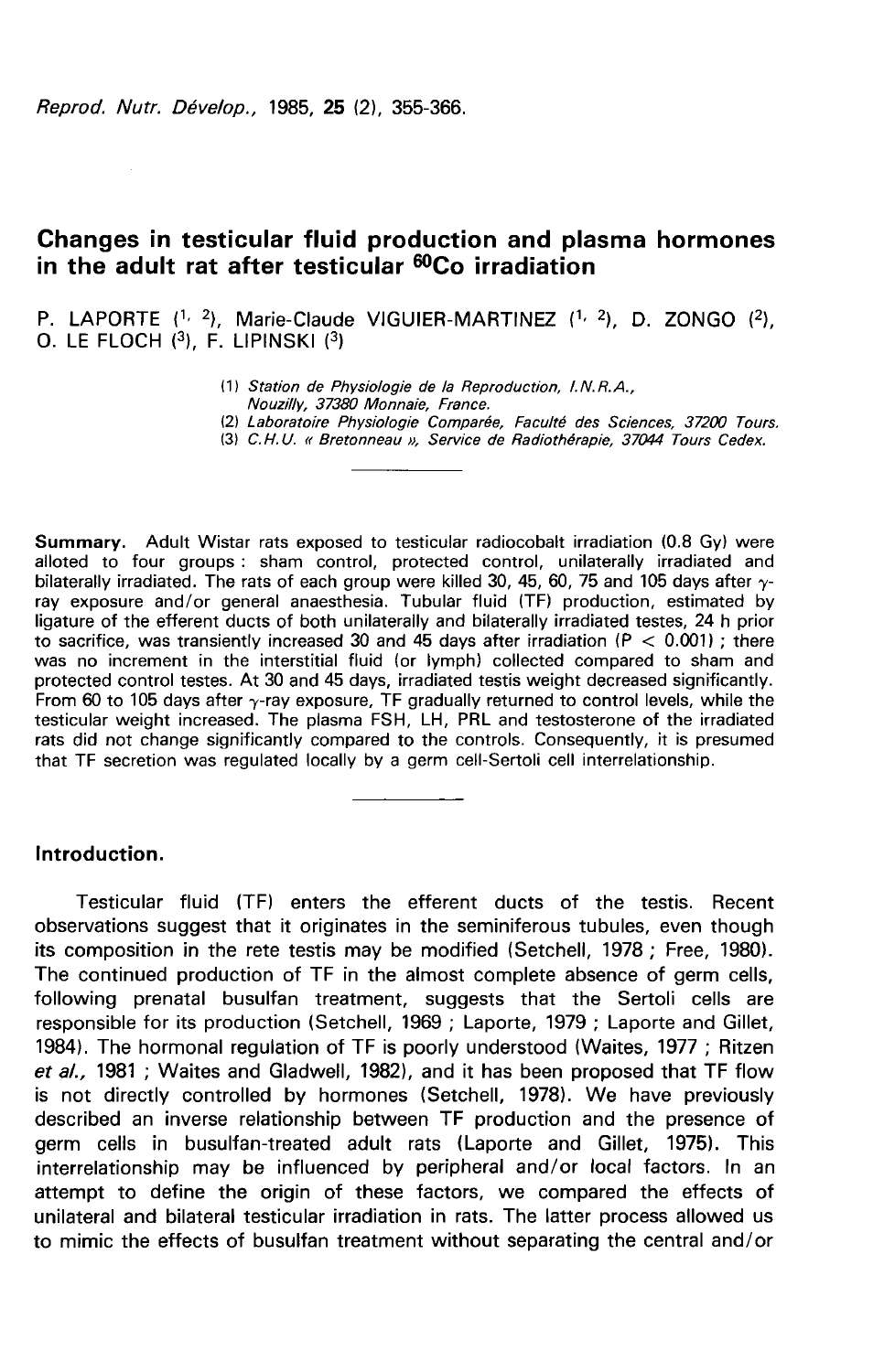Reprod. Nutr. Dévelop., 1985, 25 (2), 355-366.

# Changes in testicular fluid production and plasma hormones in the adult rat after testicular <sup>60</sup>Co irradiation

P. LAPORTE  $(1, 2)$ , Marie-Claude VIGUIER-MARTINEZ  $(1, 2)$ , D. ZONGO  $(2)$ , O. LE FLOCH  $(3)$ , F. LIPINSKI  $(3)$ 

- (1) Station de Physiologie de la Reproduction, I.N.R.A.,
- Nouzilly, 37380 Monnaie, France.
- (2) Laboratoire Physiologie Comparée, Faculté des Sciences, 37200 Tours.
- (3) C. N. U. « Bretonneau », Service de Radiothérapie, 37044 Tours Cedex.

Summary. Adult Wistar rats exposed to testicular radiocobalt irradiation (0.8 Gy) were alloted to four groups : sham control, protected control, unilaterally irradiated and bilaterally irradiated. The rats of each group were killed 30, 45, 60, 75 and 105 days after  $\gamma$ ray exposure and/or general anaesthesia. Tubular fluid (TF) production, estimated by ligature of the efferent ducts of both unilaterally and bilaterally irradiated testes, 24 h prior to sacrifice, was transiently increased 30 and 45 days after irradiation ( $P < 0.001$ ); there was no increment in the interstitial fluid (or lymph) collected compared to sham and protected control testes. At 30 and 45 days, irradiated testis weight decreased significantly. From 60 to 105 days after  $\gamma$ -ray exposure, TF gradually returned to control levels, while the testicular weight increased. The plasma FSH, LH, PRL and testosterone of the irradiated rats did not change significantly compared to the controls. Consequently, it is presumed that TF secretion was regulated locally by a germ cell-Sertoli cell interrelationship.

# Introduction.

Testicular fluid (TF) enters the efferent ducts of the testis. Recent observations suggest that it originates in the seminiferous tubules, even though its composition in the rete testis may be modified (Setchell, 1978 ; Free, 1980). The continued production of TF in the almost complete absence of germ cells, following prenatal busulfan treatment, suggests that the Sertoli cells are responsible for its production (Setchell, 1969 ; Laporte, 1979 ; Laporte and Gillet, 1984). The hormonal regulation of TF is poorly understood (Waites, 1977; Ritzen et al., 1981 ; Waites and Gladwell, 1982), and it has been proposed that TF flow is not directly controlled by hormones (Setchell, 1978). We have previously described an inverse relationship between TF production and the presence of germ cells in busulfan-treated adult rats (Laporte and Gillet, 1975). This interrelationship may be influenced by peripheral and/or local factors. In an attempt to define the origin of these factors, we compared the effects of unilateral and bilateral testicular irradiation in rats. The latter process allowed us to mimic the effects of busulfan treatment without separating the central and/or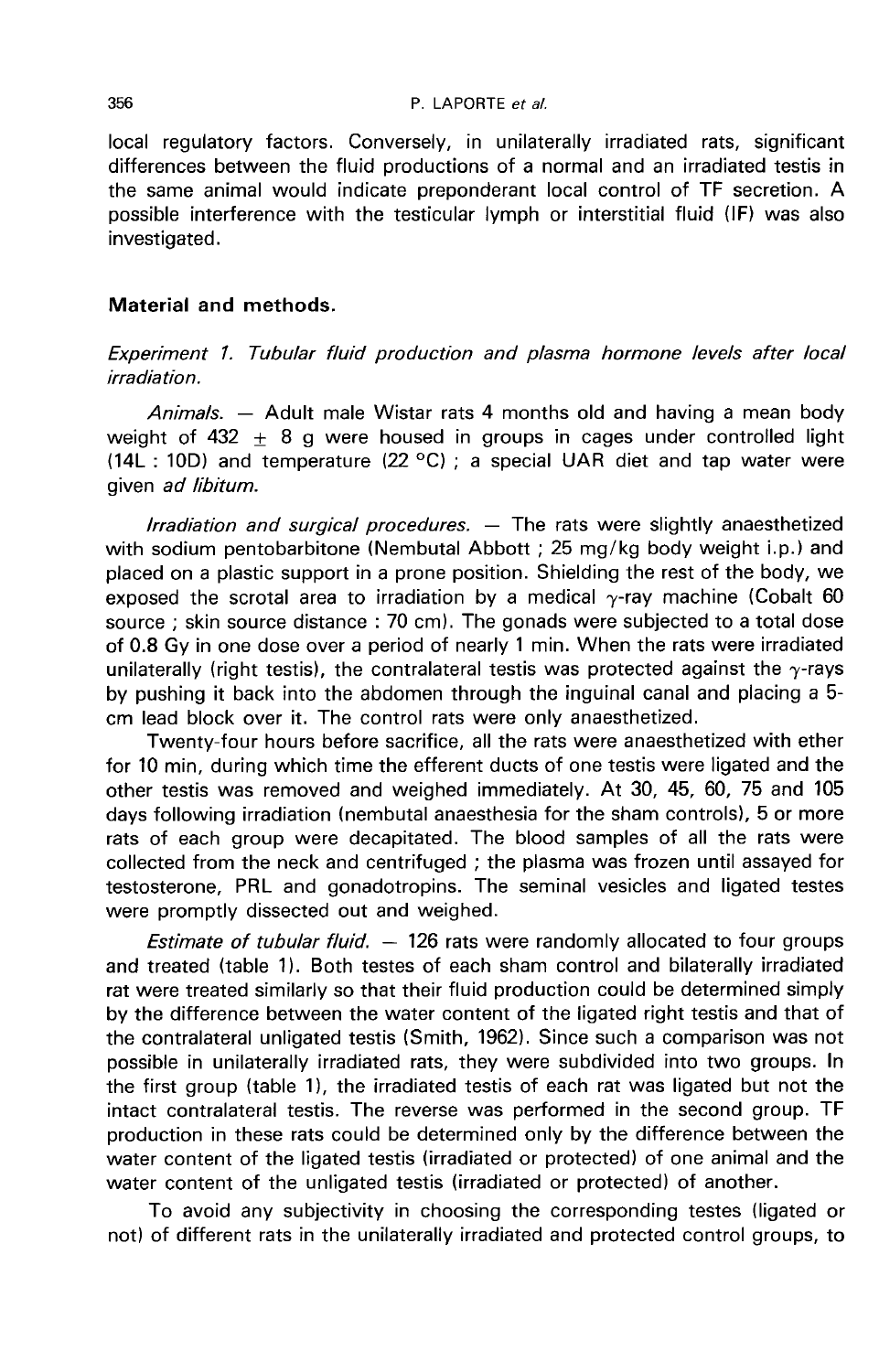local regulatory factors. Conversely, in unilaterally irradiated rats, significant differences between the fluid productions of a normal and an irradiated testis in the same animal would indicate preponderant local control of TF secretion. A possible interference with the testicular lymph or interstitial fluid (IF) was also investigated.

# Material and methods.

Experiment 1. Tubular fluid production and plasma hormone levels after local irradiation.

Animals. - Adult male Wistar rats 4 months old and having a mean body weight of 432  $\pm$  8 g were housed in groups in cages under controlled light (14L : 10D) and temperature (22  $\textdegree$ C) ; a special UAR diet and tap water were given ad libitum.

 $Irradiation$  and surgical procedures.  $-$  The rats were slightly anaesthetized with sodium pentobarbitone (Nembutal Abbott ; 25 mg/kg body weight i.p.) and placed on a plastic support in a prone position. Shielding the rest of the body, we exposed the scrotal area to irradiation by a medical  $\gamma$ -ray machine (Cobalt 60) source ; skin source distance : 70 cm). The gonads were subjected to a total dose of 0.8 Gy in one dose over a period of nearly 1 min. When the rats were irradiated unilaterally (right testis), the contralateral testis was protected against the  $\gamma$ -rays by pushing it back into the abdomen through the inguinal canal and placing a 5 cm lead block over it. The control rats were only anaesthetized.

Twenty-four hours before sacrifice, all the rats were anaesthetized with ether for 10 min, during which time the efferent ducts of one testis were ligated and the other testis was removed and weighed immediately. At 30, 45, 60, 75 and 105 days following irradiation (nembutal anaesthesia for the sham controls), 5 or more rats of each group were decapitated. The blood samples of all the rats were collected from the neck and centrifuged ; the plasma was frozen until assayed for testosterone, PRL and gonadotropins. The seminal vesicles and ligated testes were promptly dissected out and weighed.

*Estimate of tubular fluid.*  $-$  126 rats were randomly allocated to four groups and treated (table 11. Both testes of each sham control and bilaterally irradiated rat were treated similarly so that their fluid production could be determined simply by the difference between the water content of the ligated right testis and that of the contralateral unligated testis (Smith, 1962). Since such a comparison was not possible in unilaterally irradiated rats, they were subdivided into two groups. In the first group (table 1), the irradiated testis of each rat was ligated but not the intact contralateral testis. The reverse was performed in the second group. TF production in these rats could be determined only by the difference between the water content of the ligated testis (irradiated or protected) of one animal and the water content of the unligated testis (irradiated or protected) of another.

To avoid any subjectivity in choosing the corresponding testes (ligated or not) of different rats in the unilaterally irradiated and protected control groups, to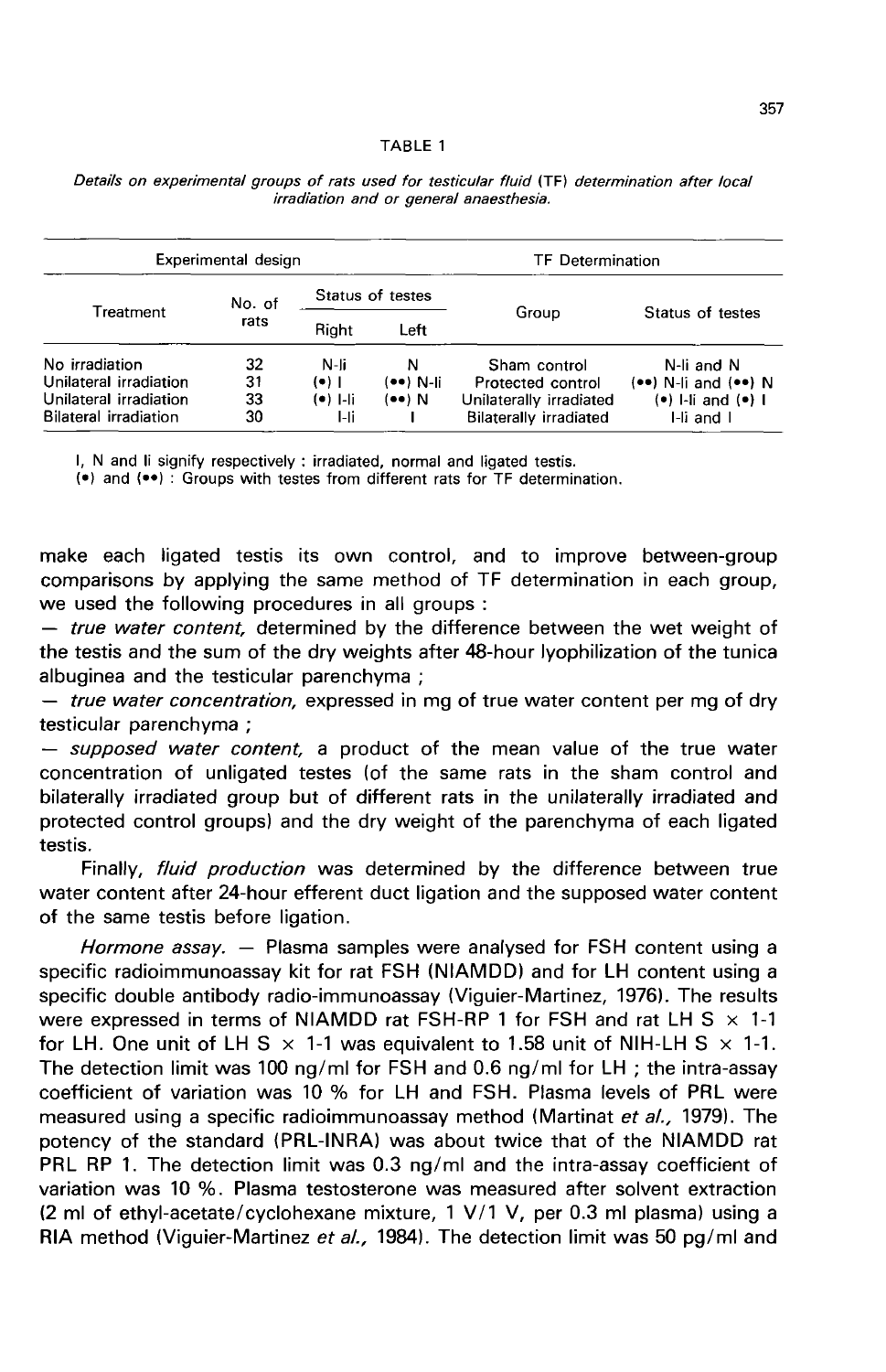|                                                                                                    | Experimental design  |                                       |                          | <b>TF</b> Determination                                                                       |                                                                                |
|----------------------------------------------------------------------------------------------------|----------------------|---------------------------------------|--------------------------|-----------------------------------------------------------------------------------------------|--------------------------------------------------------------------------------|
|                                                                                                    | No. of               |                                       | Status of testes         |                                                                                               |                                                                                |
| Treatment                                                                                          | rats                 | Right                                 | Left                     | Group                                                                                         | Status of testes                                                               |
| No irradiation<br>Unilateral irradiation<br>Unilateral irradiation<br><b>Bilateral irradiation</b> | 32<br>31<br>33<br>30 | N-li<br>$(•)$  <br>$(•)$ 1-li<br>l-li | N<br>(●●) N-li<br>(••) N | Sham control<br>Protected control<br>Unilaterally irradiated<br><b>Bilaterally irradiated</b> | N-li and N<br>$(••)$ N-li and $(••)$ N<br>$(•)$ I-Ii and $(•)$ I<br>I-li and I |

Details on experimental groups of rats used for testicular fluid (TF) determination after local irradiation and or general anaesthesia.

I, N and Ii signify respectively : irradiated, normal and ligated testis.

(•) and (••): Groups with testes from different rats for TF determination.

make each ligated testis its own control, and to improve between-group comparisons by applying the same method of TF determination in each group, we used the following procedures in all groups :

- true water content, determined by the difference between the wet weight of the testis and the sum of the dry weights after 48-hour lyophilization of the tunica<br>albuginea and the testicular parenchyma :

- *true water concentration,* expressed in mg of true water content per mg of dry testicular parenchyma ;

 $-$  supposed water content, a product of the mean value of the true water concentration of unligated testes (of the same rats in the sham control and bilaterally irradiated group but of different rats in the unilaterally irradiated and protected control groups) and the dry weight of the parenchyma of each ligated testis.

Finally, fluid production was determined by the difference between true water content after 24-hour efferent duct ligation and the supposed water content of the same testis before ligation.

Hormone assay. - Plasma samples were analysed for FSH content using a specific radioimmunoassay kit for rat FSH (NIAMDD) and for LH content using a specific double antibody radio-immunoassay (Viguier-Martinez, 1976). The results were expressed in terms of NIAMDD rat FSH-RP 1 for FSH and rat LH S  $\times$  1-1 for LH. One unit of LH S  $\times$  1-1 was equivalent to 1.58 unit of NIH-LH S  $\times$  1-1. The detection limit was 100 ng/ml for FSH and 0.6 ng/ml for LH ; the intra-assay coefficient of variation was 10 % for LH and FSH. Plasma levels of PRL were measured using a specific radioimmunoassay method (Martinat et al., 1979). The potency of the standard (PRL-INRA) was about twice that of the NIAMDD rat PRL RP 1. The detection limit was 0.3 ng/ml and the intra-assay coefficient of variation was 10 %. Plasma testosterone was measured after solvent extraction (2 ml of ethyl-acetate/cyclohexane mixture, 1 V/1 V, per 0.3 ml plasma) using a RIA method (Viguier-Martinez et al., 1984). The detection limit was 50 pg/ml and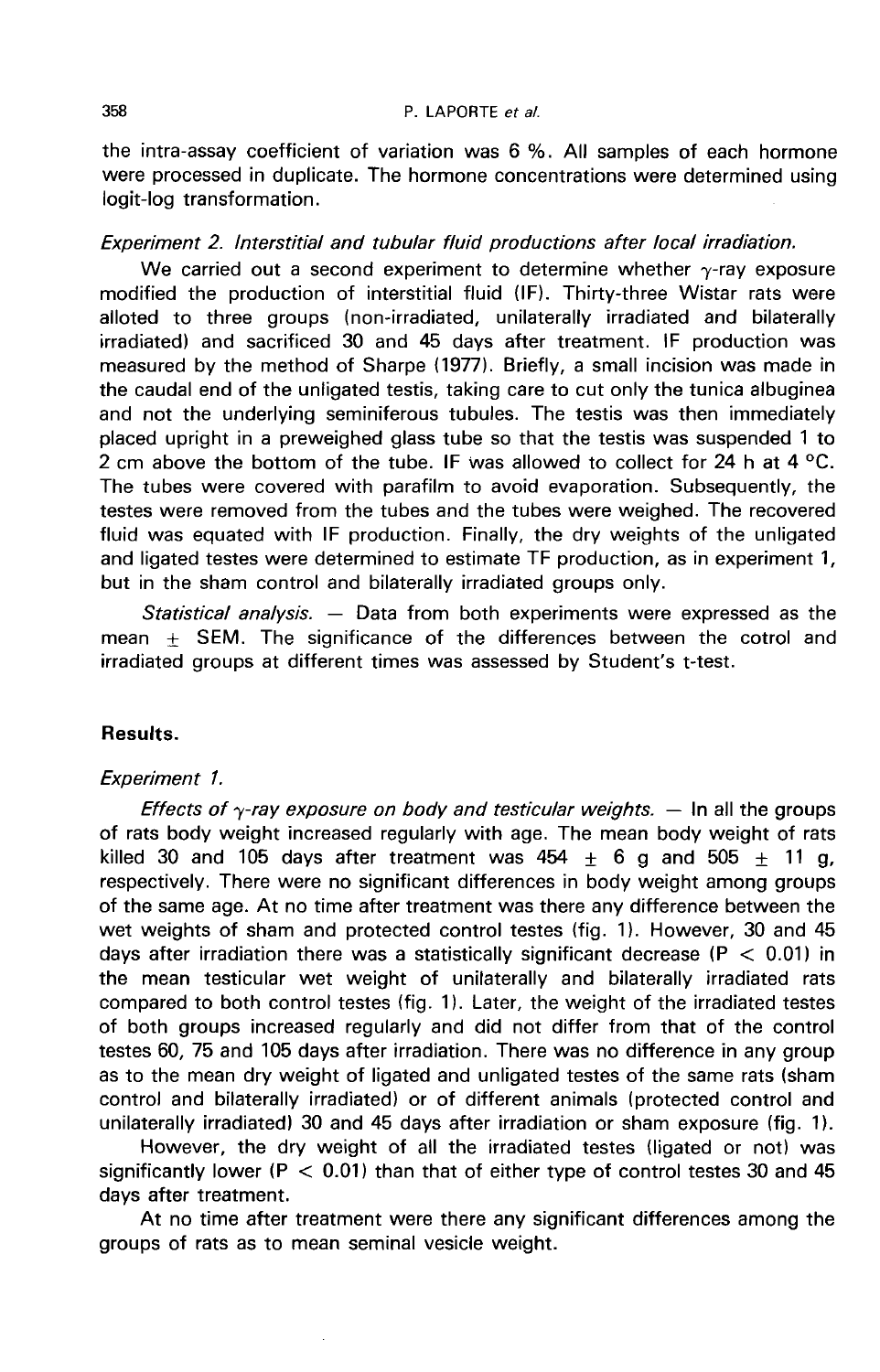the intra-assay coefficient of variation was 6 %. All samples of each hormone were processed in duplicate. The hormone concentrations were determined using logit-log transformation.

### Experiment 2. lnterstitial and tubular fluid productions after local irradiation.

We carried out a second experiment to determine whether  $\gamma$ -ray exposure modified the production of interstitial fluid (IF). Thirty-three Wistar rats were alloted to three groups (non-irradiated, unilaterally irradiated and bilaterally irradiated) and sacrificed 30 and 45 days after treatment. IF production was measured by the method of Sharpe (1977). Briefly, a small incision was made in the caudal end of the unligated testis, taking care to cut only the tunica albuginea and not the underlying seminiferous tubules. The testis was then immediately placed upright in a preweighed glass tube so that the testis was suspended 1 to 2 cm above the bottom of the tube. IF was allowed to collect for 24 h at 4  $^{\circ}$ C. The tubes were covered with parafilm to avoid evaporation. Subsequently, the testes were removed from the tubes and the tubes were weighed. The recovered fluid was equated with IF production. Finally, the dry weights of the unligated and ligated testes were determined to estimate TF production, as in experiment 1, but in the sham control and bilaterally irradiated groups only.

Statistical analysis.  $-$  Data from both experiments were expressed as the mean  $\pm$  SEM. The significance of the differences between the cotrol and irradiated groups at different times was assessed by Student's t-test.

## Results.

#### Experiment 1.

Effects of  $\gamma$ -ray exposure on body and testicular weights.  $-$  In all the groups of rats body weight increased regularly with age. The mean body weight of rats killed 30 and 105 days after treatment was 454  $\pm$  6 g and 505  $\pm$  11 g, respectively. There were no significant differences in body weight among groups of the same age. At no time after treatment was there any difference between the wet weights of sham and protected control testes (fig. 1). However, 30 and 45 days after irradiation there was a statistically significant decrease ( $P < 0.01$ ) in the mean testicular wet weight of unilaterally and bilaterally irradiated rats compared to both control testes (fig. 1). Later, the weight of the irradiated testes of both groups increased regularly and did not differ from that of the control testes 60, 75 and 105 days after irradiation. There was no difference in any group as to the mean dry weight of ligated and unligated testes of the same rats (sham control and bilaterally irradiated) or of different animals (protected control and unilaterally irradiated) 30 and 45 days after irradiation or sham exposure (fig. 1).

However, the dry weight of all the irradiated testes (ligated or not) was significantly lower (P  $<$  0.01) than that of either type of control testes 30 and 45 days after treatment.

At no time after treatment were there any significant differences among the groups of rats as to mean seminal vesicle weight.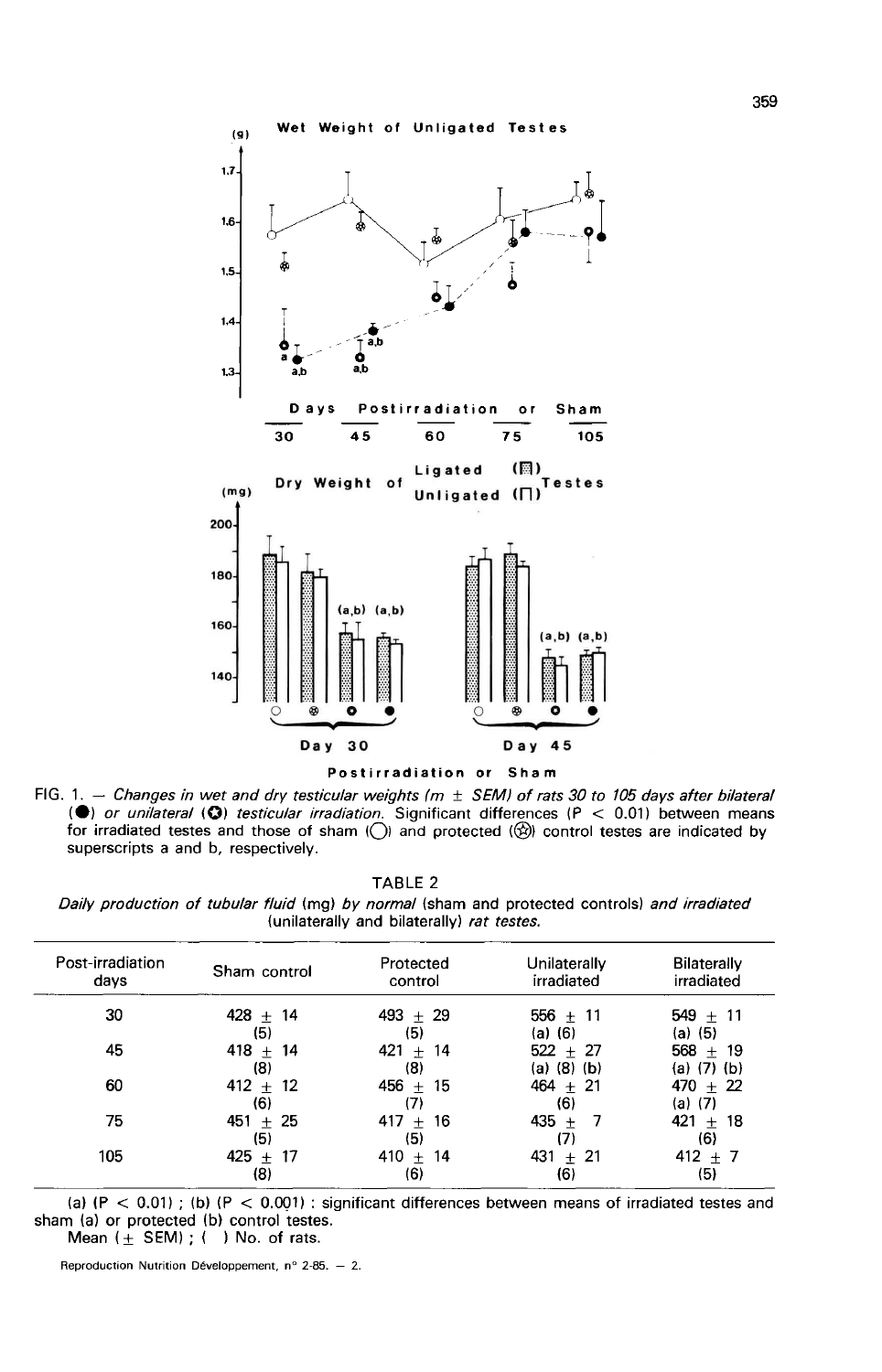



FIG. 1.  $-$  Changes in wet and dry testicular weights ( $m \pm$  SEM) of rats 30 to 105 days after bilateral (a) or unitateral (B) testicular irradiation. Significant differences (P  $\lt$  0.01) between means<br>for irradiated testes and those of sham (O) and protected ( $\circledR$ ) control testes are indicated by superscripts a and b, respectively.

|  |  | TABLE 2 |
|--|--|---------|
|  |  |         |

Daily production of tubular fluid (mg) by normal (sham and protected controls) and irradiated (unilaterally and bilaterally) rat testes.

| Post-irradiation<br>days | Sham control          | Protected<br>control | Unilaterally<br>irradiated | <b>Bilaterally</b><br>irradiated |
|--------------------------|-----------------------|----------------------|----------------------------|----------------------------------|
| 30                       | $428 +$<br>14<br>(5)  | $493 + 29$<br>(5)    | $556 + 11$<br>(a) (6)      | $549 + 11$<br>(a) (5)            |
| 45                       | 418 $\pm$ 14<br>(8)   | $421 +$<br>14<br>(8) | $522 + 27$<br>(a) (8) (b)  | $568 + 19$<br>(a) $(7)$ (b)      |
| 60                       | $412 + 12$<br>(6)     | $456 +$<br>15<br>(7) | $464 + 21$<br>(6)          | $470 + 22$<br>(a) (7)            |
| 75                       | $451 + 25$<br>(5)     | $417 +$<br>16<br>(5) | $435 +$<br>-7<br>(7)       | $421 + 18$<br>(6)                |
| 105                      | $425 +$<br>-17<br>(8) | $410 +$<br>14<br>(6) | $431 + 21$<br>(6)          | $412 + 7$<br>(5)                 |

(a)  $(P < 0.01)$ ; (b)  $(P < 0.001)$ : significant differences between means of irradiated testes and sham (a) or protected (b) control testes. Mean  $($  + SEM) ;  $($  ) No. of rats.

Reproduction Nutrition Développement,  $n^{\circ}$  2-85. - 2.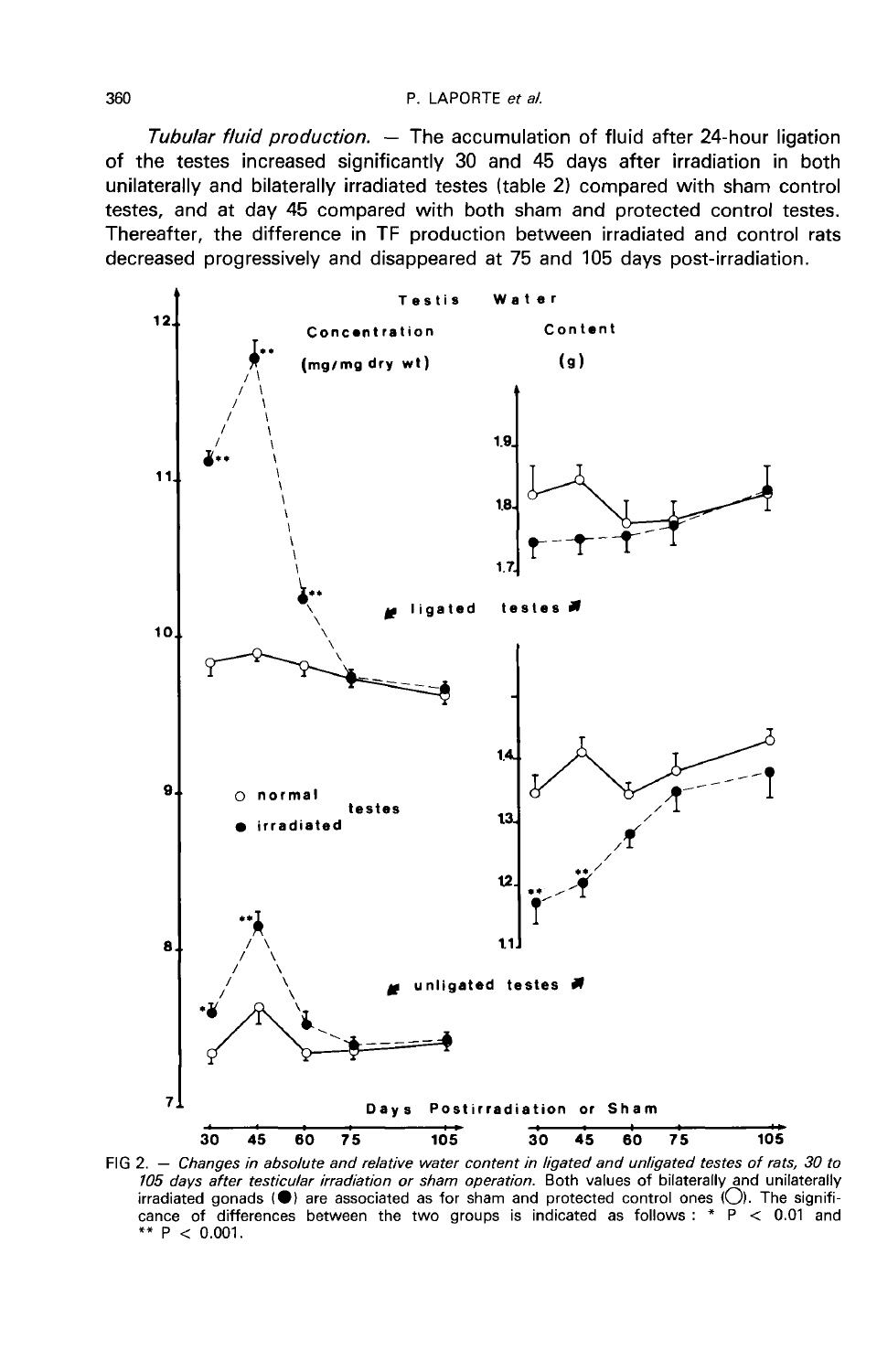#### P. LAPORTE et al.

Tubular fluid production.  $-$  The accumulation of fluid after 24-hour ligation of the testes increased significantly 30 and 45 days after irradiation in both unilaterally and bilaterally irradiated testes (table 2) compared with sham control testes, and at day 45 compared with both sham and protected control testes. Thereafter, the difference in TF production between irradiated and control rats decreased progressively and disappeared at 75 and 105 days post-irradiation.



FIG 2. - Changes in absolute and relative water content in ligated and unligated testes of rats, 30 to 105 days after testicular irradiation or sham operation. Both values of bilaterally and unilaterally irradiated gonads ( $\bullet$ ) are associated as for sham and protected control ones ( $\circ$ ). The significance of differences between the two groups is indicated as follows: \*  $P$  < 0.01 and \*\*  $P < 0.001$ .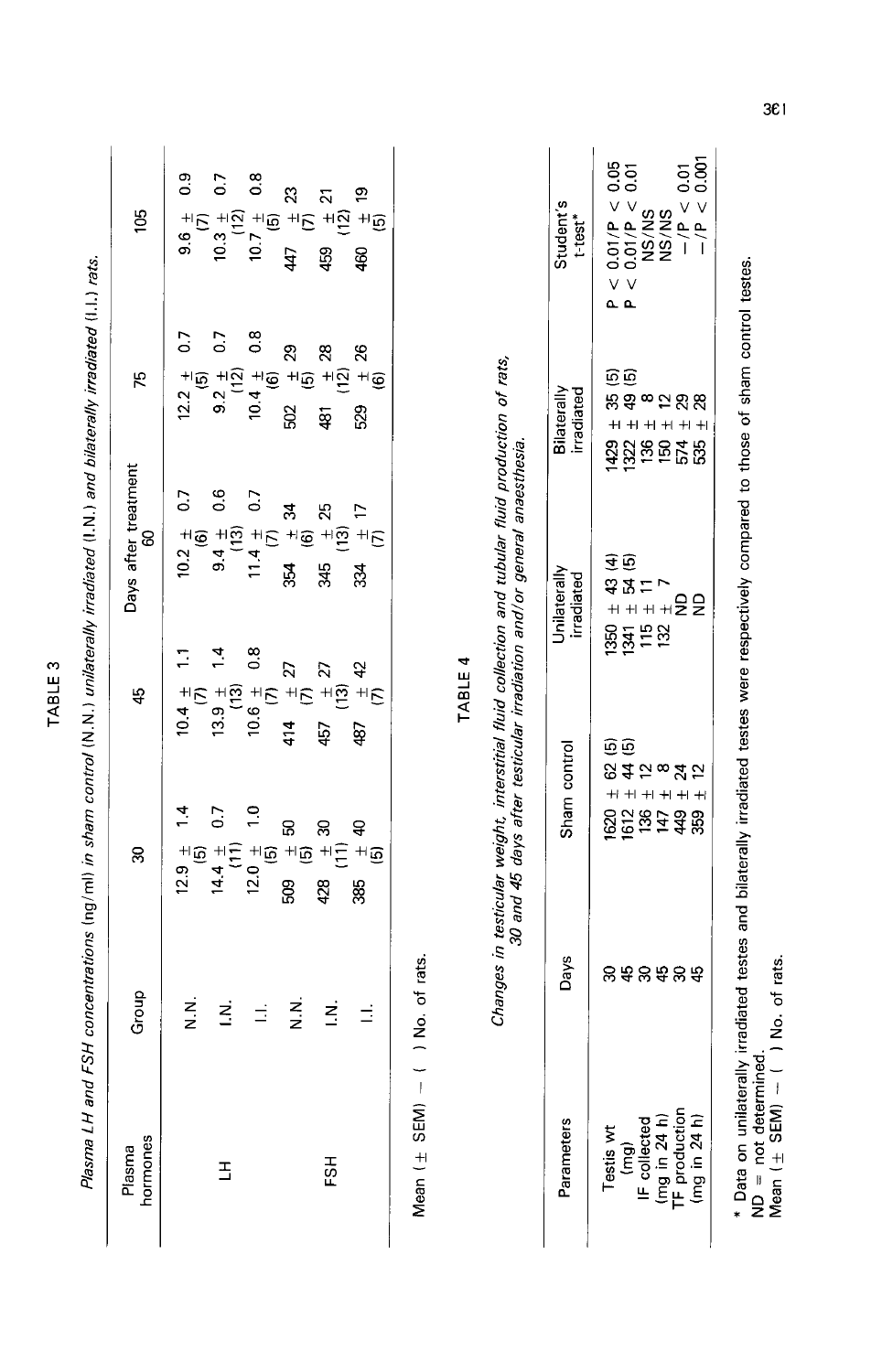| Plasma LH and I    |          |                                                   |                                       | FSH concentrations (ng/ml) in sham control (N.N.) unilaterally irradiated (I.N.) and bilaterally irradiated (I.I.) rats. |                                                        |                                                       |
|--------------------|----------|---------------------------------------------------|---------------------------------------|--------------------------------------------------------------------------------------------------------------------------|--------------------------------------------------------|-------------------------------------------------------|
| Plasma<br>hormones | Group    | Z                                                 | 45                                    | Days after treatment<br>8                                                                                                | 75                                                     | 105                                                   |
|                    | z<br>z   | $12.9 \pm 1.4$<br>(5)                             | $10.4 \pm 1.1$<br>(7)                 | $10.2 \pm 0.7$<br>(6)                                                                                                    | $\overline{0}$<br>$12.2 \pm$<br>$\widehat{\mathbf{e}}$ | $\frac{9}{2}$<br>$rac{4}{36}$                         |
| ュ                  | z        | 0.7<br>$\frac{14.4}{111}$                         | $13.9 \pm 1.4$<br>(13)                | 0.6<br>$9.4 +$<br>(13)                                                                                                   | $\overline{0}$<br>$\frac{1}{2}$<br>(12)                | 0.7<br>$10.3 +$<br>$(12)$                             |
|                    | Ξ        | $\frac{0}{1}$<br>12.0 $\pm$<br>(5)                | $0.\overline{8}$<br>$10.6 +$<br>$(7)$ | 0.7                                                                                                                      | $\frac{8}{2}$<br>$10.4 + 6$                            | $0.\overline{8}$<br>10.7 <sup>1</sup> / <sub>15</sub> |
|                    | z<br>z   | ន<br>$\overline{\mathfrak{s}}$<br>503             | $\frac{1}{(7)}$<br>414                | z<br>$\frac{4}{11}$ $\frac{4}{11}$ $\frac{4}{11}$ $\frac{4}{11}$ $\frac{4}{11}$<br>354                                   | 29<br>$^{+1}$ $\widehat{\omega}$<br>502                | 23<br>47                                              |
| 중                  | <u>خ</u> | ន<br>$\pm \frac{1}{2}$<br>428                     | $rac{1}{13}$ 27<br>457                | $\mathbb{Z}^5$<br>$+1\overline{2}$<br>345                                                                                | $\mathbf{z}$<br>$+5$<br>481                            | ង<br>+ក្រ +ក្ទ<br>459                                 |
|                    | Ξ        | $\mathsf{a}$<br>$\overline{\mathfrak{B}}^+$<br>88 | $\frac{42}{15}$<br>87                 | $\frac{1}{17}$<br>334                                                                                                    | 26<br>+i ©<br>529                                      | ຸດ<br>ສັງ<br>\$                                       |
|                    |          |                                                   |                                       |                                                                                                                          |                                                        |                                                       |

Mean  $(\pm$  SEM)  $-$  ( ) No. of rats.

TABLE 4

Changes in testicular weight, interstitial fluid collection and tubular fluid production of rats,<br>30 and 45 days after testicular irradiation and/or general anaesthesia.

| Student's<br>t-test*       | $\begin{array}{l} \mathsf{P} < 0.01/\mathsf{P} < 0.05 \\ \mathsf{P} < 0.01/\mathsf{P} < 0.01 \\ \mathsf{NS/NS} \\ \mathsf{NS/NS} \\ \mathsf{NS/NS} \\ \mathsf{NSS/NS} \\ \mathsf{P} \\ \mathsf{P} \\ \mathsf{P} \\ \mathsf{P} \\ \mathsf{P} \\ \mathsf{P} \\ \mathsf{P} \\ \mathsf{P} \\ \mathsf{P} \\ \mathsf{P} \\ \mathsf{P} \\ \mathsf{P} \\ \mathsf{P} \\ \mathsf{P} \\ \mathsf{P} \\ \mathsf{P} \\ \mathsf{P} \\ \mathsf{P} \\$ |
|----------------------------|---------------------------------------------------------------------------------------------------------------------------------------------------------------------------------------------------------------------------------------------------------------------------------------------------------------------------------------------------------------------------------------------------------------------------------------|
| Bilaterally<br>irradiated  | e<br>G<br>お\$ 8 5 5 5 3 8<br>まままままま<br><u>ទីអ្ន</u> ីង្គស្នង                                                                                                                                                                                                                                                                                                                                                                          |
| Unilaterally<br>irradiated | 1350 + 43 (4)<br>1341 + 54 (5)<br>115 + 11<br>115 + 7<br>132 + 7<br>132 + 7                                                                                                                                                                                                                                                                                                                                                           |
| Sham control               | ®®<br>®#ភ∞¥ភ<br>$+1 + 1 + 1$<br><u>ទីត្តូ</u><br>ខ្លីភ្លូង <del>វី</del> ដូ                                                                                                                                                                                                                                                                                                                                                           |
| Days                       | នឧនឧនឧ                                                                                                                                                                                                                                                                                                                                                                                                                                |
| arameters                  | Testis wt<br>(mg)<br>(F collected<br>(mg in 24 h)<br>(F production<br>(Img in 24 h)                                                                                                                                                                                                                                                                                                                                                   |

\* Data on unilaterally irradiated testes and bilaterally irradiated testes were respectively compared to those of sham control testes.<br>ND = not determined.<br>Mean (± SEM) -- ( ) No. of rats.

361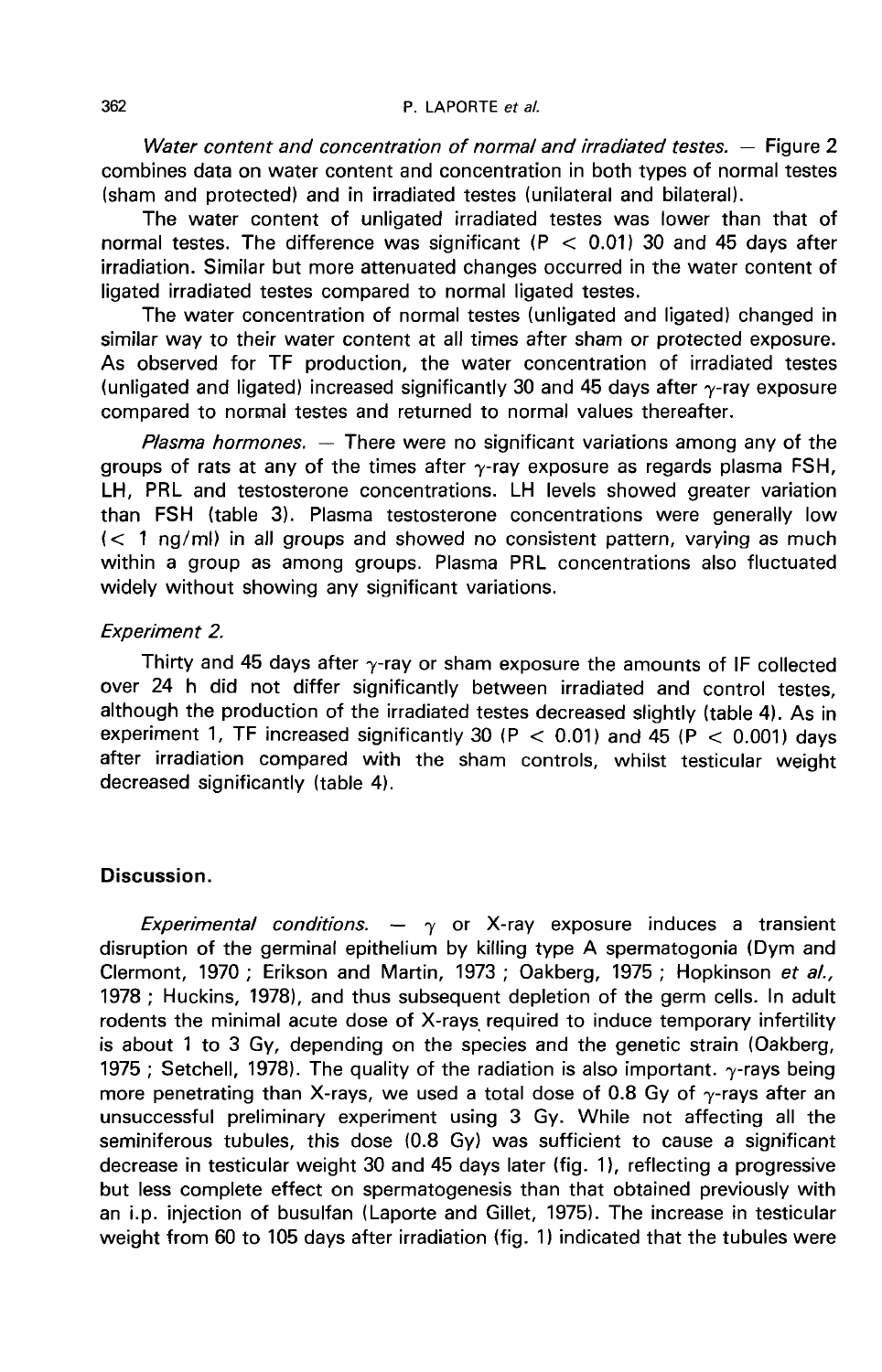Water content and concentration of normal and irradiated testes.  $-$  Figure 2 combines data on water content and concentration in both types of normal testes (sham and protected) and in irradiated testes (unilateral and bilateral).

The water content of unligated irradiated testes was lower than that of normal testes. The difference was significant (P  $<$  0.01) 30 and 45 days after irradiation. Similar but more attenuated changes occurred in the water content of ligated irradiated testes compared to normal ligated testes.

The water concentration of normal testes (unligated and ligated) changed in similar way to their water content at all times after sham or protected exposure. As observed for TF production, the water concentration of irradiated testes (unligated and ligated) increased significantly 30 and 45 days after  $\gamma$ -ray exposure compared to normal testes and returned to normal values thereafter.

Plasma hormones.  $-$  There were no significant variations among any of the groups of rats at any of the times after  $\gamma$ -ray exposure as regards plasma FSH, LH, PRL and testosterone concentrations. LH levels showed greater variation than FSH (table 3). Plasma testosterone concentrations were generally low  $\langle$  < 1 ng/ml) in all groups and showed no consistent pattern, varying as much within a group as among groups. Plasma PRL concentrations also fluctuated widely without showing any significant variations.

### Experiment 2.

Thirty and 45 days after  $\gamma$ -ray or sham exposure the amounts of IF collected over 24 h did not differ significantly between irradiated and control testes, although the production of the irradiated testes decreased slightly (table 4). As in experiment 1, TF increased significantly 30 (P  $<$  0.01) and 45 (P  $<$  0.001) days after irradiation compared with the sham controls, whilst testicular weight decreased significantly (table 4).

# Discussion.

Experimental conditions.  $-\gamma$  or X-ray exposure induces a transient disruption of the germinal epithelium by killing type A spermatogonia (Dym and Clermont, 1970 ; Erikson and Martin, 1973 ; Oakberg, 1975 ; Hopkinson et al., 1978 ; Huckins, 1978), and thus subsequent depletion of the germ cells. In adult rodents the minimal acute dose of X-rays, required to induce temporary infertility is about 1 to 3 Gy, depending on the species and the genetic strain (Oakberg, 1975; Setchell, 1978). The quality of the radiation is also important.  $\gamma$ -rays being more penetrating than X-rays, we used a total dose of 0.8 Gy of  $\gamma$ -rays after an unsuccessful preliminary experiment using 3 Gy. While not affecting all the seminiferous tubules, this dose (0.8 Gy) was sufficient to cause a significant decrease in testicular weight 30 and 45 days later (fig. 1), reflecting a progressive but less complete effect on spermatogenesis than that obtained previously with an i.p. injection of busulfan (Laporte and Gillet, 1975). The increase in testicular weight from 60 to 105 days after irradiation (fig. 1) indicated that the tubules were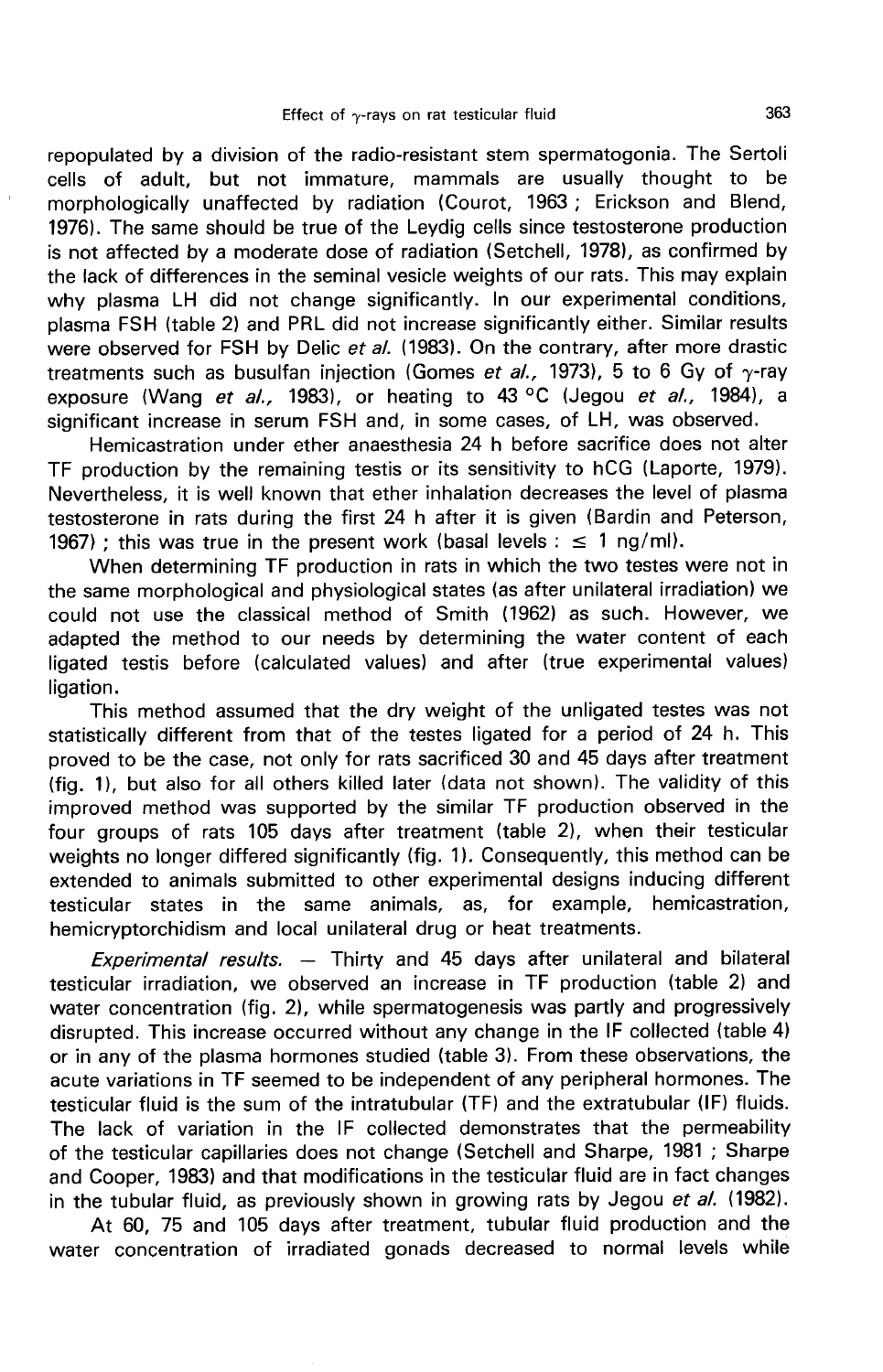repopulated by a division of the radio-resistant stem spermatogonia. The Sertoli cells of adult, but not immature, mammals are usually thought to be morphologically unaffected by radiation (Courot, 1963 ; Erickson and Blend, 1976). The same should be true of the Leydig cells since testosterone production is not affected by a moderate dose of radiation (Setchell, 1978), as confirmed by the lack of differences in the seminal vesicle weights of our rats. This may explain why plasma LH did not change significantly. In our experimental conditions, plasma FSH (table 2) and PRL did not increase significantly either. Similar results were observed for FSH by Delic et al. (1983). On the contrary, after more drastic treatments such as busulfan injection (Gomes et al., 1973), 5 to 6 Gy of  $\gamma$ -ray exposure (Wang et al., 1983), or heating to 43 °C (Jegou et al., 1984), a significant increase in serum FSH and, in some cases, of LH, was observed.

Hemicastration under ether anaesthesia 24 h before sacrifice does not alter TF production by the remaining testis or its sensitivity to hCG (Laporte, 1979). Nevertheless, it is well known that ether inhalation decreases the level of plasma testosterone in rats during the first 24 h after it is given (Bardin and Peterson, 1967) ; this was true in the present work (basal levels :  $\leq 1$  ng/ml).

When determining TF production in rats in which the two testes were not in the same morphological and physiological states (as after unilateral irradiation) we could not use the classical method of Smith (1962) as such. However, we adapted the method to our needs by determining the water content of each ligated testis before (calculated values) and after (true experimental values) ligation.

This method assumed that the dry weight of the unligated testes was not statistically different from that of the testes ligated for a period of 24 h. This proved to be the case, not only for rats sacrificed 30 and 45 days after treatment (fig. 1), but also for all others killed later (data not shown). The validity of this improved method was supported by the similar TF production observed in the four groups of rats 105 days after treatment (table 2), when their testicular weights no longer differed significantly (fig. 1). Consequently, this method can be extended to animals submitted to other experimental designs inducing different testicular states in the same animals, as, for example, hemicastration, hemicryptorchidism and local unilateral drug or heat treatments.

Experimental results.  $-$  Thirty and 45 days after unilateral and bilateral testicular irradiation, we observed an increase in TF production (table 2) and water concentration (fig. 2), while spermatogenesis was partly and progressively disrupted. This increase occurred without any change in the IF collected (table 4) or in any of the plasma hormones studied (table 3). From these observations, the acute variations in TF seemed to be independent of any peripheral hormones. The testicular fluid is the sum of the intratubular (TF) and the extratubular (IF) fluids. The lack of variation in the IF collected demonstrates that the permeability of the testicular capillaries does not change (Setchell and Sharpe, 1981 ; Sharpe and Cooper, 1983) and that modifications in the testicular fluid are in fact changes in the tubular fluid, as previously shown in growing rats by Jegou et al. (1982).

At 60, 75 and 105 days after treatment, tubular fluid production and the water concentration of irradiated gonads decreased to normal levels while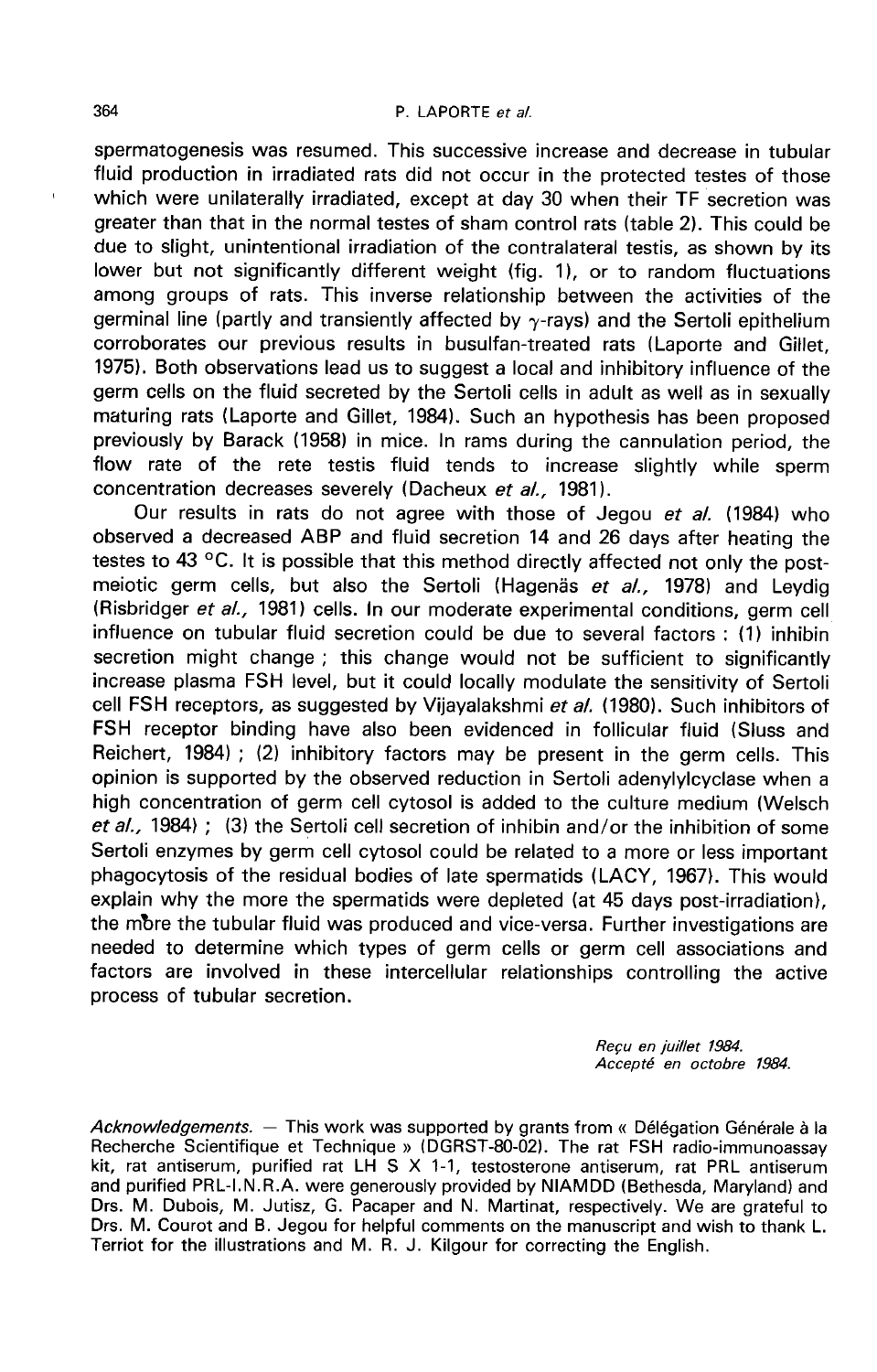#### P. LAPORTE et al.

spermatogenesis was resumed. This successive increase and decrease in tubular fluid production in irradiated rats did not occur in the protected testes of those which were unilaterally irradiated, except at day 30 when their TF secretion was greater than that in the normal testes of sham control rats (table 2). This could be due to slight, unintentional irradiation of the contralateral testis, as shown by its lower but not significantly different weight (fig. 1), or to random fluctuations among groups of rats. This inverse relationship between the activities of the germinal line (partly and transiently affected by  $\gamma$ -rays) and the Sertoli epithelium corroborates our previous results in busulfan-treated rats (Laporte and Gillet, 1975). Both observations lead us to suggest a local and inhibitory influence of the germ cells on the fluid secreted by the Sertoli cells in adult as well as in sexually maturing rats (Laporte and Gillet, 1984). Such an hypothesis has been proposed previously by Barack (1958) in mice. In rams during the cannulation period, the flow rate of the rete testis fluid tends to increase slightly while sperm concentration decreases severely (Dacheux et al., 1981).

Our results in rats do not agree with those of Jegou et al. (1984) who observed a decreased ABP and fluid secretion 14 and 26 days after heating the testes to 43 °C. It is possible that this method directly affected not only the postmeiotic germ cells, but also the Sertoli (Hagenäs et al., 1978) and Leydig (Risbridger et al., 1981) cells. In our moderate experimental conditions, germ cell influence on tubular fluid secretion could be due to several factors : (1) inhibin secretion might change ; this change would not be sufficient to significantly increase plasma FSH level, but it could locally modulate the sensitivity of Sertoli cell FSH receptors, as suggested by Vijayalakshmi et al. (1980). Such inhibitors of FSH receptor binding have also been evidenced in follicular fluid (Sluss and Reichert, 1984) ; (2) inhibitory factors may be present in the germ cells. This opinion is supported by the observed reduction in Sertoli adenylylcyclase when a high concentration of germ cell cytosol is added to the culture medium (Welsch et al., 1984) ; (3) the Sertoli cell secretion of inhibin and/or the inhibition of some Sertoli enzymes by germ cell cytosol could be related to a more or less important phagocytosis of the residual bodies of late spermatids (LACY, 1967). This would explain why the more the spermatids were depleted (at 45 days post-irradiation), the mbre the tubular fluid was produced and vice-versa. Further investigations are needed to determine which types of germ cells or germ cell associations and factors are involved in these intercellular relationships controlling the active process of tubular secretion.

> Recu en juillet 1984. Accepté en octobre 1984.

Acknowledgements. - This work was supported by grants from « Délégation Générale à la Recherche Scientifique et Technique » (DGRST-80-02). The rat FSH radio-immunoassay kit, rat antiserum, purified rat LH S X 1-1, testosterone antiserum, rat PRL antiserum and purified PRL-I.N.R.A. were generously provided by NIAMDD (Bethesda, Maryland) and Drs. M. Dubois, M. Jutisz, G. Pacaper and N. Martinat, respectively. We are grateful to Drs. M. Courot and B. Jegou for helpful comments on the manuscript and wish to thank L. Terriot for the illustrations and M. R. J. Kilgour for correcting the English.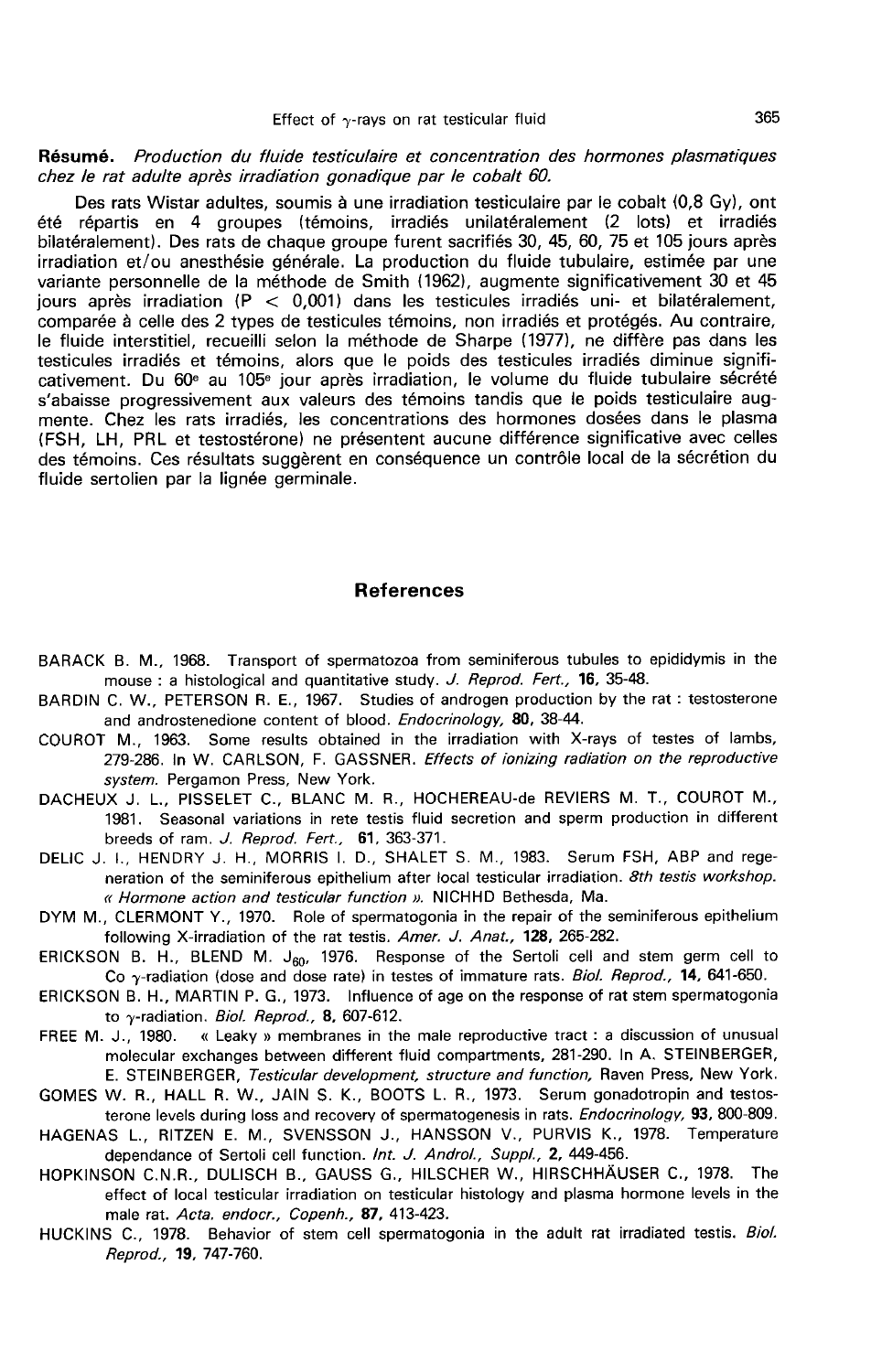#### Résumé. Production du fluide testiculaire et concentration des hormones plasmatiques chez le rat adulte après irradiation gonadique par le cobalt 60.

Des rats Wistar adultes, soumis à une irradiation testiculaire par le cobalt (0,8 Gy), ont été répartis en 4 groupes (témoins, irradiés unilatéralement (2 lots) et irradiés bilatéralement). Des rats de chaque groupe furent sacrifiés 30, 45, 60, 75 et 105 jours après irradiation et/ou anesthésie générale. La production du fluide tubulaire, estimée par une variante personnelle de la méthode de Smith (1962), augmente significativement 30 et 45 jours après irradiation ( $P < 0.001$ ) dans les testicules irradiés uni- et bilatéralement, comparée à celle des 2 types de testicules témoins, non irradiés et protégés. Au contraire, le fluide interstitiel, recueilli selon la méthode de Sharpe (1977), ne diffère pas dans les testicules irradiés et témoins, alors que le poids des testicules irradiés diminue signifi-<br>cativement. Du 60<sup>e</sup> au 105<sup>e</sup> jour après irradiation, le volume du fluide tubulaire sécrété s'abaisse progressivement aux valeurs des témoins tandis que le poids testiculaire augmente. Chez les rats irradiés, les concentrations des hormones dosées dans le plasma (FSH, LH, PRL et testostérone) ne présentent aucune différence significative avec celles des témoins. Ces résultats suggèrent en conséquence un contrôle local de la sécrétion du fluide sertolien par la lignée germinale.

#### References

- BARACK B. M., 1968. Transport of spermatozoa from seminiferous tubules to epididymis in the mouse : a histological and quantitative study. J. Reprod. Fert., 16, 35-48.
- BARDIN C. W., PETERSON R. E., 1967. Studies of androgen production by the rat : testosterone and androstenedione content of blood. Endocrinology, 80, 38-44.
- COUROT M., 1963. Some results obtained in the irradiation with X-rays of testes of lambs, 279-286. In W. CARLSON, F. GASSNER. Effects of ionizing radiation on the reproductive system. Pergamon Press, New York.
- DACHEUX J. L., PISSELET C., BLANC M. R., HOCHEREAU-de REVIERS M. T., COUROT M., 1981. Seasonal variations in rete testis fluid secretion and sperm production in different breeds of ram. J. Reprod. Fert., 61, 363-371.
- DELIC J. I., HENDRY J. H., MORRIS I. D., SHALET S. M., 1983. Serum FSH, ABP and regeneration of the seminiferous epithelium after local testicular irradiation. 8th testis workshop. « Hormone action and testicular function ». NICHHD Bethesda, Ma.
- DYM M., CLERMONT Y., 1970. Role of spermatogonia in the repair of the seminiferous epithelium following X-irradiation of the rat testis. Amer. J. Anat., 128, 265-282.
- ERICKSON B. H., BLEND M.  $J_{60}$ , 1976. Response of the Sertoli cell and stem germ cell to Co  $\gamma$ -radiation (dose and dose rate) in testes of immature rats. Biol. Reprod., 14, 641-650.
- ERICKSON B. H., MARTIN P. G., 1973. Influence of age on the response of rat stem spermatogonia to  $\gamma$ -radiation. *Biol. Reprod.,* 8, 607-612.<br>FREE M. J., 1980. « Leaky » membranes in th
- « Leaky » membranes in the male reproductive tract : a discussion of unusual molecular exchanges between different fluid compartments, 281-290. In A. STEINBERGER, E. STEINBERGER, Testicular development, structure and function, Raven Press, New York.
- GOMES W. R., HALL R. W., JAIN S. K., BOOTS L. R., 1973. Serum gonadotropin and testosterone levels during loss and recovery of spermatogenesis in rats. Endocrinology, 93, 800-809.
- HAGENAS L., RITZEN E. M., SVENSSON J., HANSSON V., PURVIS K., 1978. Temperature dependance of Sertoli cell function. Int. J. Androl., Suppl., 2, 449-456.
- HOPKINSON C.N.R., DULISCH B., GAUSS G., HILSCHER W., HIRSCHHAUSER C., 1978. The effect of local testicular irradiation on testicular histology and plasma hormone levels in the male rat. Acta. endocr., Copenh., 87, 413-423.
- HUCKINS C., 1978. Behavior of stem cell spermatogonia in the adult rat irradiated testis. Biol. Reprod., 19, 747-760.